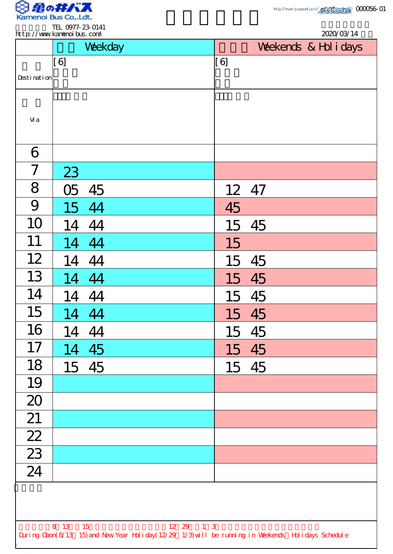

 $\overline{\phantom{a}}$ 

TEL 0977-23-0141

|                 |         | Weekday |       |       | Weekends & Hol i days |
|-----------------|---------|---------|-------|-------|-----------------------|
|                 | [6]     |         | [6]   |       |                       |
| Desti nati on   |         |         |       |       |                       |
| Vi a            |         |         |       |       |                       |
| 6               |         |         |       |       |                       |
| $\overline{7}$  | 23      |         |       |       |                       |
| 8               | 05      | 45      | 12 47 |       |                       |
| 9               | 15      | 44      | 45    |       |                       |
| 10              | 14      | 44      | 15    | 45    |                       |
| 11              | 14      | 44      | 15    |       |                       |
| 12              | 14      | 44      | 15    | 45    |                       |
| 13              |         | 14 44   | 15    | 45    |                       |
| 14              |         | 14 44   |       | 15 45 |                       |
| 15              | 14 44   |         |       | 15 45 |                       |
| 16              | 14      | 44      | 15    | 45    |                       |
| 17              |         | 14 45   |       | 15 45 |                       |
| 18              |         | 15 45   |       | 15 45 |                       |
| 19              |         |         |       |       |                       |
| 20              |         |         |       |       |                       |
| 21              |         |         |       |       |                       |
| $\overline{22}$ |         |         |       |       |                       |
| $\frac{23}{24}$ |         |         |       |       |                       |
|                 |         |         |       |       |                       |
|                 |         |         |       |       |                       |
|                 | 8 13 15 |         |       |       |                       |